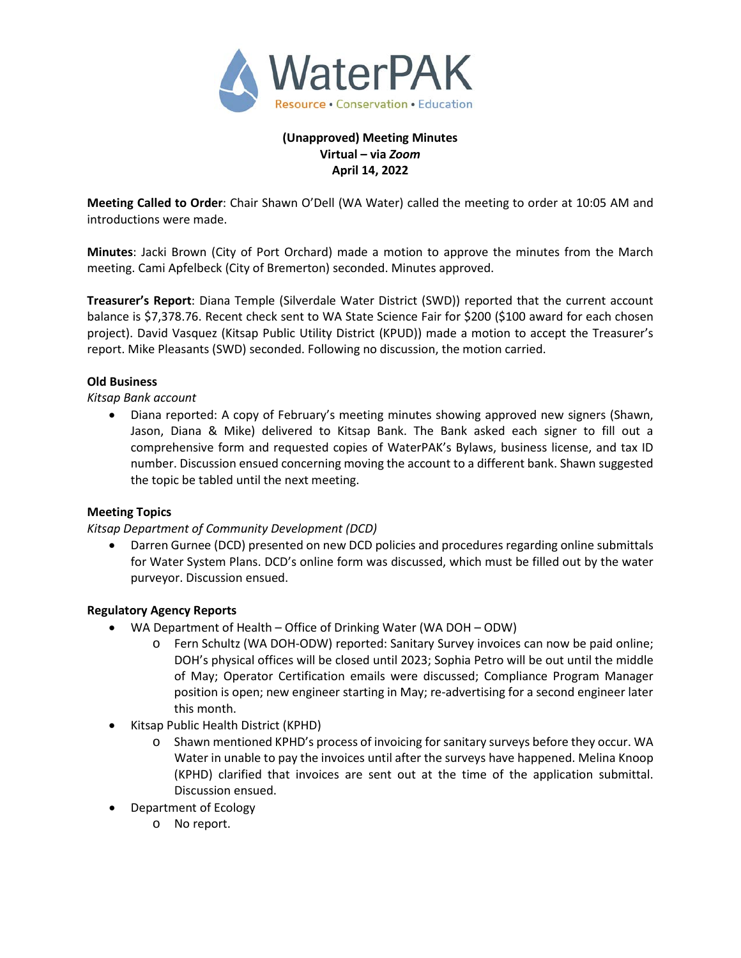

# **(Unapproved) Meeting Minutes Virtual – via** *Zoom* **April 14, 2022**

**Meeting Called to Order**: Chair Shawn O'Dell (WA Water) called the meeting to order at 10:05 AM and introductions were made.

**Minutes**: Jacki Brown (City of Port Orchard) made a motion to approve the minutes from the March meeting. Cami Apfelbeck (City of Bremerton) seconded. Minutes approved.

**Treasurer's Report**: Diana Temple (Silverdale Water District (SWD)) reported that the current account balance is \$7,378.76. Recent check sent to WA State Science Fair for \$200 (\$100 award for each chosen project). David Vasquez (Kitsap Public Utility District (KPUD)) made a motion to accept the Treasurer's report. Mike Pleasants (SWD) seconded. Following no discussion, the motion carried.

### **Old Business**

*Kitsap Bank account*

• Diana reported: A copy of February's meeting minutes showing approved new signers (Shawn, Jason, Diana & Mike) delivered to Kitsap Bank. The Bank asked each signer to fill out a comprehensive form and requested copies of WaterPAK's Bylaws, business license, and tax ID number. Discussion ensued concerning moving the account to a different bank. Shawn suggested the topic be tabled until the next meeting.

#### **Meeting Topics**

### *Kitsap Department of Community Development (DCD)*

• Darren Gurnee (DCD) presented on new DCD policies and procedures regarding online submittals for Water System Plans. DCD's online form was discussed, which must be filled out by the water purveyor. Discussion ensued.

### **Regulatory Agency Reports**

- WA Department of Health Office of Drinking Water (WA DOH ODW)
	- o Fern Schultz (WA DOH-ODW) reported: Sanitary Survey invoices can now be paid online; DOH's physical offices will be closed until 2023; Sophia Petro will be out until the middle of May; Operator Certification emails were discussed; Compliance Program Manager position is open; new engineer starting in May; re-advertising for a second engineer later this month.
- Kitsap Public Health District (KPHD)
	- o Shawn mentioned KPHD's process of invoicing for sanitary surveys before they occur. WA Water in unable to pay the invoices until after the surveys have happened. Melina Knoop (KPHD) clarified that invoices are sent out at the time of the application submittal. Discussion ensued.
- Department of Ecology
	- o No report.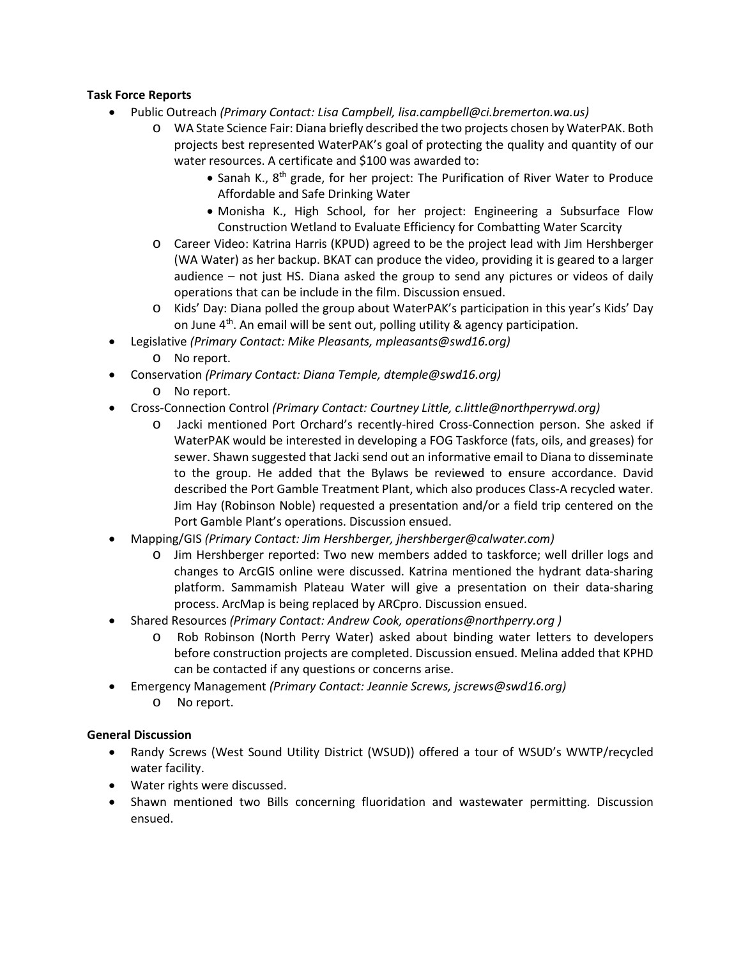## **Task Force Reports**

- Public Outreach *(Primary Contact: Lisa Campbell, lisa.campbell@ci.bremerton.wa.us)*
	- o WA State Science Fair: Diana briefly described the two projects chosen by WaterPAK. Both projects best represented WaterPAK's goal of protecting the quality and quantity of our water resources. A certificate and \$100 was awarded to:
		- Sanah K., 8<sup>th</sup> grade, for her project: The Purification of River Water to Produce Affordable and Safe Drinking Water
		- Monisha K., High School, for her project: Engineering a Subsurface Flow Construction Wetland to Evaluate Efficiency for Combatting Water Scarcity
	- o Career Video: Katrina Harris (KPUD) agreed to be the project lead with Jim Hershberger (WA Water) as her backup. BKAT can produce the video, providing it is geared to a larger audience – not just HS. Diana asked the group to send any pictures or videos of daily operations that can be include in the film. Discussion ensued.
	- o Kids' Day: Diana polled the group about WaterPAK's participation in this year's Kids' Day on June  $4<sup>th</sup>$ . An email will be sent out, polling utility & agency participation.
- Legislative *(Primary Contact: Mike Pleasants, mpleasants@swd16.org)* 
	- o No report.
- Conservation *(Primary Contact: Diana Temple, dtemple@swd16.org)*
	- o No report.
- Cross-Connection Control *(Primary Contact: Courtney Little, [c.little@northperrywd.org\)](mailto:c.little@northperrywd.org)*
	- o Jacki mentioned Port Orchard's recently-hired Cross-Connection person. She asked if WaterPAK would be interested in developing a FOG Taskforce (fats, oils, and greases) for sewer. Shawn suggested that Jacki send out an informative email to Diana to disseminate to the group. He added that the Bylaws be reviewed to ensure accordance. David described the Port Gamble Treatment Plant, which also produces Class-A recycled water. Jim Hay (Robinson Noble) requested a presentation and/or a field trip centered on the Port Gamble Plant's operations. Discussion ensued.
- Mapping/GIS *(Primary Contact: Jim Hershberger, jhershberger@calwater.com)*
	- o Jim Hershberger reported: Two new members added to taskforce; well driller logs and changes to ArcGIS online were discussed. Katrina mentioned the hydrant data-sharing platform. Sammamish Plateau Water will give a presentation on their data-sharing process. ArcMap is being replaced by ARCpro. Discussion ensued.
- Shared Resources *(Primary Contact: Andrew Cook, operations@northperry.org )*
	- o Rob Robinson (North Perry Water) asked about binding water letters to developers before construction projects are completed. Discussion ensued. Melina added that KPHD can be contacted if any questions or concerns arise.
- Emergency Management *(Primary Contact: Jeannie Screws, jscrews@swd16.org)*
	- o No report.

## **General Discussion**

- Randy Screws (West Sound Utility District (WSUD)) offered a tour of WSUD's WWTP/recycled water facility.
- Water rights were discussed.
- Shawn mentioned two Bills concerning fluoridation and wastewater permitting. Discussion ensued.